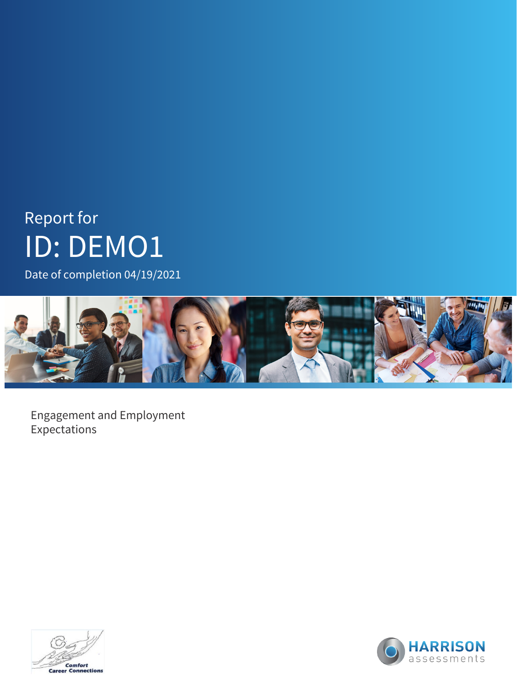Date of completion 04/19/2021



Engagement and Employment Expectations



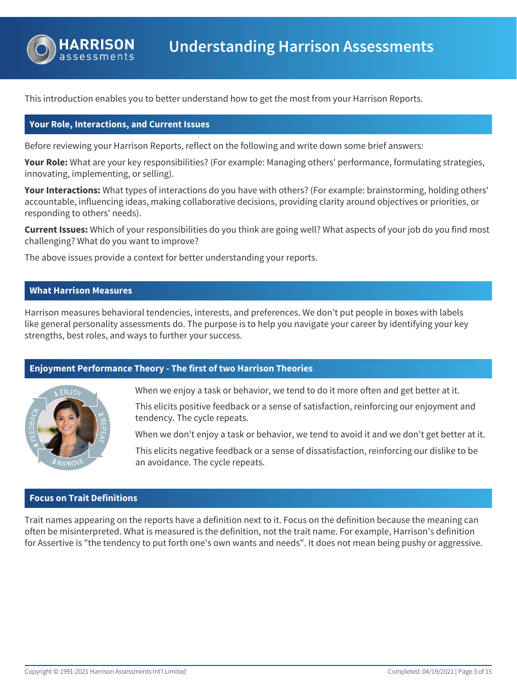

This introduction enables you to better understand how to get the most from your Harrison Reports.

#### **Your Role, Interactions, and Current Issues**

Before reviewing your Harrison Reports, reflect on the following and write down some brief answers:

**Your Role:** What are your key responsibilities? (For example: Managing others' performance, formulating strategies, innovating, implementing, or selling).

**Your Interactions:** What types of interactions do you have with others? (For example: brainstorming, holding others' accountable, influencing ideas, making collaborative decisions, providing clarity around objectives or priorities, or responding to others' needs).

**Current Issues:** Which of your responsibilities do you think are going well? What aspects of your job do you find most challenging? What do you want to improve?

The above issues provide a context for better understanding your reports.

#### **What Harrison Measures**

Harrison measures behavioral tendencies, interests, and preferences. We don't put people in boxes with labels like general personality assessments do. The purpose is to help you navigate your career by identifying your key strengths, best roles, and ways to further your success.

# **Enjoyment Performance Theory - The first of two Harrison Theories**



When we enjoy a task or behavior, we tend to do it more often and get better at it.

This elicits positive feedback or a sense of satisfaction, reinforcing our enjoyment and tendency. The cycle repeats.

When we don't enjoy a task or behavior, we tend to avoid it and we don't get better at it.

This elicits negative feedback or a sense of dissatisfaction, reinforcing our dislike to be an avoidance. The cycle repeats.

# **Focus on Trait Definitions**

Trait names appearing on the reports have a definition next to it. Focus on the definition because the meaning can often be misinterpreted. What is measured is the definition, not the trait name. For example, Harrison's definition for Assertive is "the tendency to put forth one's own wants and needs". It does not mean being pushy or aggressive.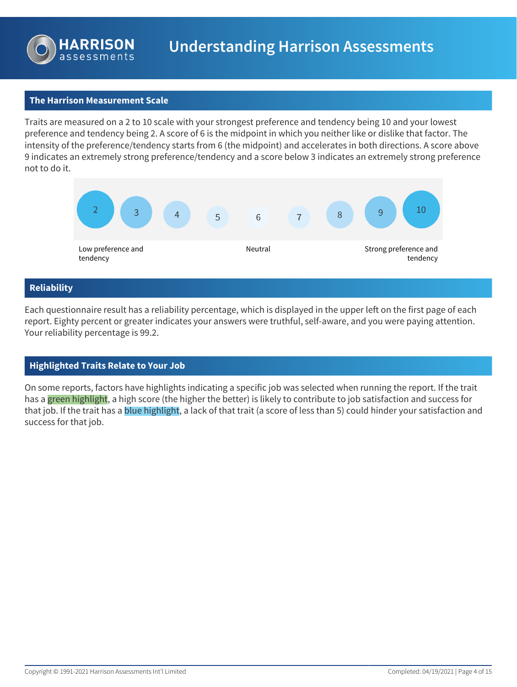

# **The Harrison Measurement Scale**

Traits are measured on a 2 to 10 scale with your strongest preference and tendency being 10 and your lowest preference and tendency being 2. A score of 6 is the midpoint in which you neither like or dislike that factor. The intensity of the preference/tendency starts from 6 (the midpoint) and accelerates in both directions. A score above 9 indicates an extremely strong preference/tendency and a score below 3 indicates an extremely strong preference not to do it.



# **Reliability**

Each questionnaire result has a reliability percentage, which is displayed in the upper left on the first page of each report. Eighty percent or greater indicates your answers were truthful, self-aware, and you were paying attention. Your reliability percentage is 99.2.

# **Highlighted Traits Relate to Your Job**

On some reports, factors have highlights indicating a specific job was selected when running the report. If the trait has a green highlight, a high score (the higher the better) is likely to contribute to job satisfaction and success for that job. If the trait has a blue highlight, a lack of that trait (a score of less than 5) could hinder your satisfaction and success for that job.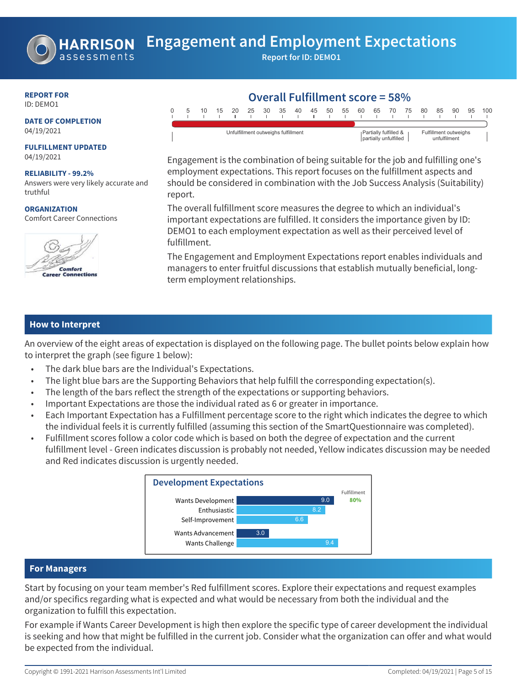

# **REPORT FOR**

ID: DEMO1

#### **DATE OF COMPLETION** 04/19/2021

**FULFILLMENT UPDATED** 04/19/2021

**RELIABILITY - 99.2%** Answers were very likely accurate and truthful

**ORGANIZATION** Comfort Career Connections



#### **Overall Fulfillment score = 58%** 0 5 10 15 20 25 30 35 40 45 50 55 60 65 70 75 80 85 90 95 100 Unfulfillment outweighs fulfillment **Partially fulfilled &** partially unfulfilled Fulfillment outweighs unfulfilment

Engagement is the combination of being suitable for the job and fulfilling one's employment expectations. This report focuses on the fulfillment aspects and should be considered in combination with the Job Success Analysis (Suitability) report.

The overall fulfillment score measures the degree to which an individual's important expectations are fulfilled. It considers the importance given by ID: DEMO1 to each employment expectation as well as their perceived level of fulfillment.

The Engagement and Employment Expectations report enables individuals and managers to enter fruitful discussions that establish mutually beneficial, longterm employment relationships.

# **How to Interpret**

An overview of the eight areas of expectation is displayed on the following page. The bullet points below explain how to interpret the graph (see figure 1 below):

- The dark blue bars are the Individual's Expectations.
- The light blue bars are the Supporting Behaviors that help fulfill the corresponding expectation(s).
- The length of the bars reflect the strength of the expectations or supporting behaviors.
- Important Expectations are those the individual rated as 6 or greater in importance.
- Each Important Expectation has a Fulfillment percentage score to the right which indicates the degree to which the individual feels it is currently fulfilled (assuming this section of the SmartQuestionnaire was completed).
- Fulfillment scores follow a color code which is based on both the degree of expectation and the current fulfillment level - Green indicates discussion is probably not needed, Yellow indicates discussion may be needed and Red indicates discussion is urgently needed.



# **For Managers**

Start by focusing on your team member's Red fulfillment scores. Explore their expectations and request examples and/or specifics regarding what is expected and what would be necessary from both the individual and the organization to fulfill this expectation.

For example if Wants Career Development is high then explore the specific type of career development the individual is seeking and how that might be fulfilled in the current job. Consider what the organization can offer and what would be expected from the individual.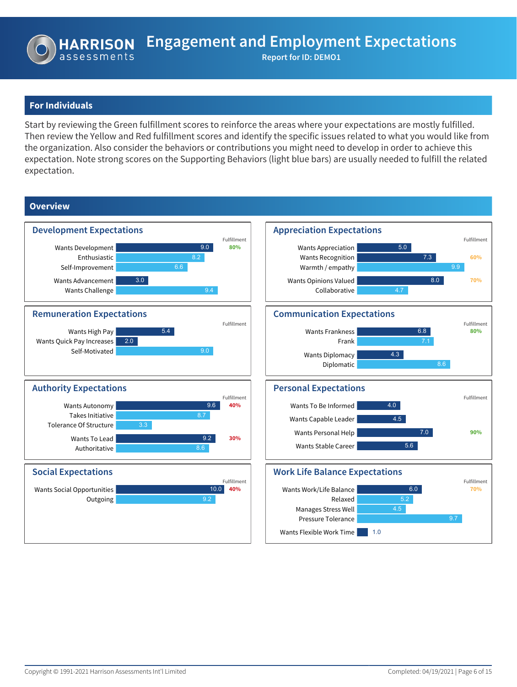# **For Individuals**

Start by reviewing the Green fulfillment scores to reinforce the areas where your expectations are mostly fulfilled. Then review the Yellow and Red fulfillment scores and identify the specific issues related to what you would like from the organization. Also consider the behaviors or contributions you might need to develop in order to achieve this expectation. Note strong scores on the Supporting Behaviors (light blue bars) are usually needed to fulfill the related expectation.

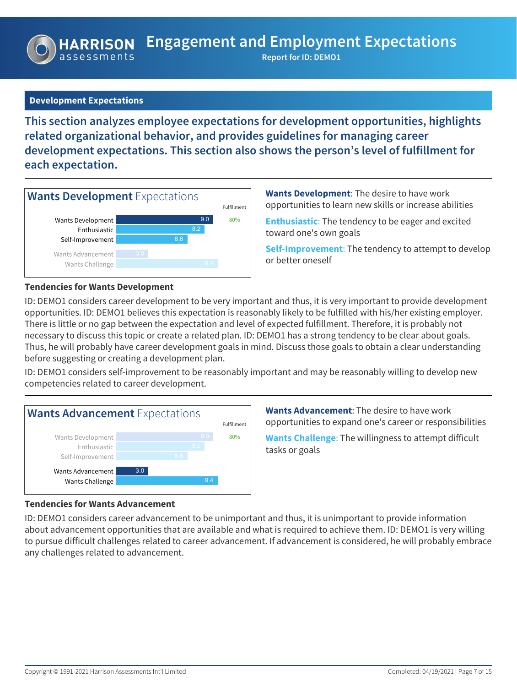# **Development Expectations**

**This section analyzes employee expectations for development opportunities, highlights related organizational behavior, and provides guidelines for managing career development expectations. This section also shows the person's level of fulfillment for each expectation.**



**Wants Development**: The desire to have work opportunities to learn new skills or increase abilities

**Enthusiastic**: The tendency to be eager and excited toward one's own goals

**Self-Improvement**: The tendency to attempt to develop or better oneself

### **Tendencies for Wants Development**

ID: DEMO1 considers career development to be very important and thus, it is very important to provide development opportunities. ID: DEMO1 believes this expectation is reasonably likely to be fulfilled with his/her existing employer. There is little or no gap between the expectation and level of expected fulfillment. Therefore, it is probably not necessary to discuss this topic or create a related plan. ID: DEMO1 has a strong tendency to be clear about goals. Thus, he will probably have career development goals in mind. Discuss those goals to obtain a clear understanding before suggesting or creating a development plan.

ID: DEMO1 considers self-improvement to be reasonably important and may be reasonably willing to develop new competencies related to career development.



**Wants Advancement**: The desire to have work opportunities to expand one's career or responsibilities

**Wants Challenge**: The willingness to attempt difficult tasks or goals

#### **Tendencies for Wants Advancement**

ID: DEMO1 considers career advancement to be unimportant and thus, it is unimportant to provide information about advancement opportunities that are available and what is required to achieve them. ID: DEMO1 is very willing to pursue difficult challenges related to career advancement. If advancement is considered, he will probably embrace any challenges related to advancement.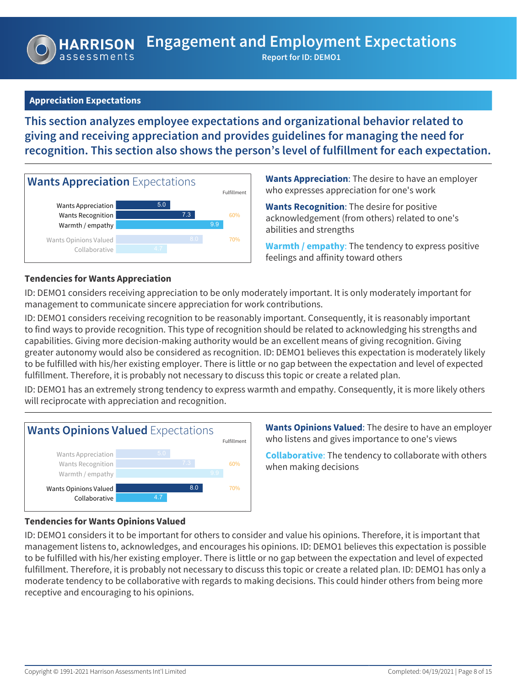# **Appreciation Expectations**

**This section analyzes employee expectations and organizational behavior related to giving and receiving appreciation and provides guidelines for managing the need for recognition. This section also shows the person's level of fulfillment for each expectation.**



**Wants Appreciation**: The desire to have an employer who expresses appreciation for one's work

**Wants Recognition**: The desire for positive acknowledgement (from others) related to one's abilities and strengths

**Warmth / empathy**: The tendency to express positive feelings and affinity toward others

### **Tendencies for Wants Appreciation**

ID: DEMO1 considers receiving appreciation to be only moderately important. It is only moderately important for management to communicate sincere appreciation for work contributions.

ID: DEMO1 considers receiving recognition to be reasonably important. Consequently, it is reasonably important to find ways to provide recognition. This type of recognition should be related to acknowledging his strengths and capabilities. Giving more decision-making authority would be an excellent means of giving recognition. Giving greater autonomy would also be considered as recognition. ID: DEMO1 believes this expectation is moderately likely to be fulfilled with his/her existing employer. There is little or no gap between the expectation and level of expected fulfillment. Therefore, it is probably not necessary to discuss this topic or create a related plan.

ID: DEMO1 has an extremely strong tendency to express warmth and empathy. Consequently, it is more likely others will reciprocate with appreciation and recognition.



**Wants Opinions Valued**: The desire to have an employer who listens and gives importance to one's views

**Collaborative**: The tendency to collaborate with others when making decisions

#### **Tendencies for Wants Opinions Valued**

ID: DEMO1 considers it to be important for others to consider and value his opinions. Therefore, it is important that management listens to, acknowledges, and encourages his opinions. ID: DEMO1 believes this expectation is possible to be fulfilled with his/her existing employer. There is little or no gap between the expectation and level of expected fulfillment. Therefore, it is probably not necessary to discuss this topic or create a related plan. ID: DEMO1 has only a moderate tendency to be collaborative with regards to making decisions. This could hinder others from being more receptive and encouraging to his opinions.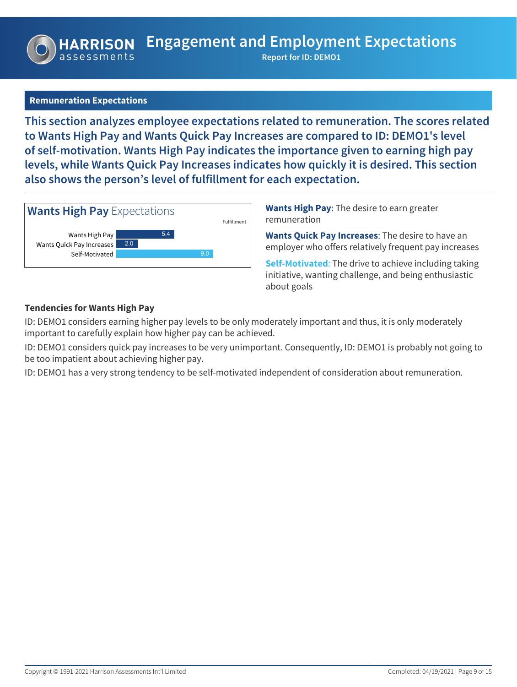# **Remuneration Expectations**

**This section analyzes employee expectations related to remuneration. The scores related to Wants High Pay and Wants Quick Pay Increases are compared to ID: DEMO1's level of self-motivation. Wants High Pay indicates the importance given to earning high pay levels, while Wants Quick Pay Increases indicates how quickly it is desired. This section also shows the person's level of fulfillment for each expectation.**



**Wants High Pay**: The desire to earn greater remuneration

**Wants Quick Pay Increases**: The desire to have an employer who offers relatively frequent pay increases

**Self-Motivated**: The drive to achieve including taking initiative, wanting challenge, and being enthusiastic about goals

### **Tendencies for Wants High Pay**

ID: DEMO1 considers earning higher pay levels to be only moderately important and thus, it is only moderately important to carefully explain how higher pay can be achieved.

ID: DEMO1 considers quick pay increases to be very unimportant. Consequently, ID: DEMO1 is probably not going to be too impatient about achieving higher pay.

ID: DEMO1 has a very strong tendency to be self-motivated independent of consideration about remuneration.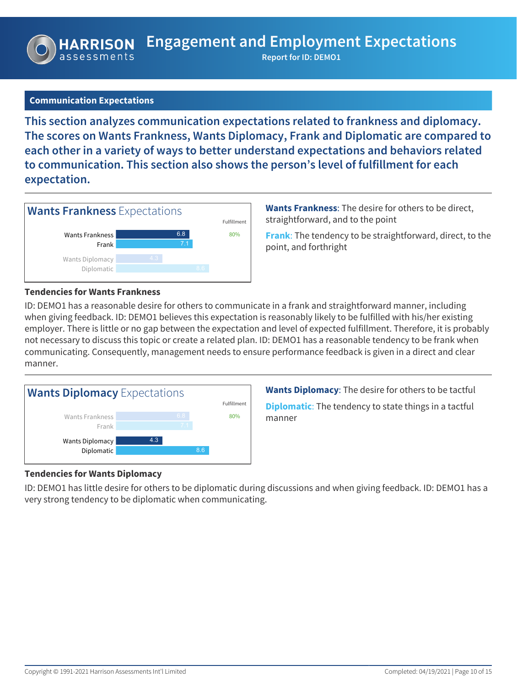# **Communication Expectations**

**This section analyzes communication expectations related to frankness and diplomacy. The scores on Wants Frankness, Wants Diplomacy, Frank and Diplomatic are compared to each other in a variety of ways to better understand expectations and behaviors related to communication. This section also shows the person's level of fulfillment for each expectation.**



**Wants Frankness**: The desire for others to be direct, straightforward, and to the point

**Frank**: The tendency to be straightforward, direct, to the point, and forthright

#### **Tendencies for Wants Frankness**

ID: DEMO1 has a reasonable desire for others to communicate in a frank and straightforward manner, including when giving feedback. ID: DEMO1 believes this expectation is reasonably likely to be fulfilled with his/her existing employer. There is little or no gap between the expectation and level of expected fulfillment. Therefore, it is probably not necessary to discuss this topic or create a related plan. ID: DEMO1 has a reasonable tendency to be frank when communicating. Consequently, management needs to ensure performance feedback is given in a direct and clear manner.



**Wants Diplomacy**: The desire for others to be tactful

**Diplomatic**: The tendency to state things in a tactful manner

#### **Tendencies for Wants Diplomacy**

ID: DEMO1 has little desire for others to be diplomatic during discussions and when giving feedback. ID: DEMO1 has a very strong tendency to be diplomatic when communicating.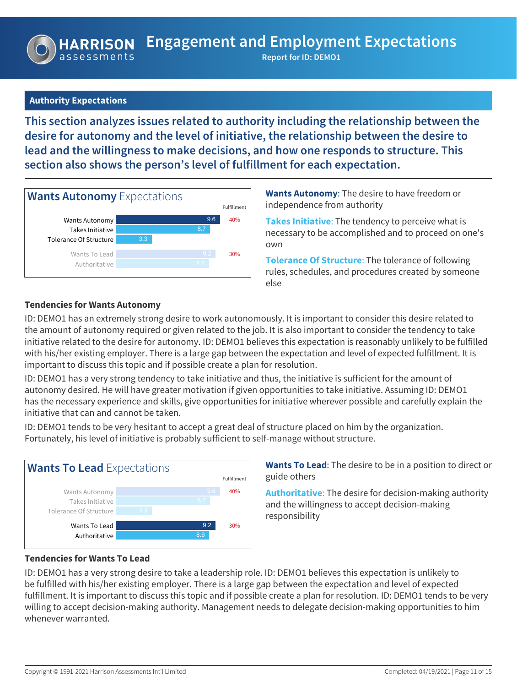# **Authority Expectations**

**This section analyzes issues related to authority including the relationship between the desire for autonomy and the level of initiative, the relationship between the desire to lead and the willingness to make decisions, and how one responds to structure. This section also shows the person's level of fulfillment for each expectation.**



**Wants Autonomy**: The desire to have freedom or independence from authority

**Takes Initiative**: The tendency to perceive what is necessary to be accomplished and to proceed on one's own

**Tolerance Of Structure**: The tolerance of following rules, schedules, and procedures created by someone else

# **Tendencies for Wants Autonomy**

ID: DEMO1 has an extremely strong desire to work autonomously. It is important to consider this desire related to the amount of autonomy required or given related to the job. It is also important to consider the tendency to take initiative related to the desire for autonomy. ID: DEMO1 believes this expectation is reasonably unlikely to be fulfilled with his/her existing employer. There is a large gap between the expectation and level of expected fulfillment. It is important to discuss this topic and if possible create a plan for resolution.

ID: DEMO1 has a very strong tendency to take initiative and thus, the initiative is sufficient for the amount of autonomy desired. He will have greater motivation if given opportunities to take initiative. Assuming ID: DEMO1 has the necessary experience and skills, give opportunities for initiative wherever possible and carefully explain the initiative that can and cannot be taken.

ID: DEMO1 tends to be very hesitant to accept a great deal of structure placed on him by the organization. Fortunately, his level of initiative is probably sufficient to self-manage without structure.



**Wants To Lead**: The desire to be in a position to direct or guide others

**Authoritative**: The desire for decision-making authority and the willingness to accept decision-making responsibility

#### **Tendencies for Wants To Lead**

ID: DEMO1 has a very strong desire to take a leadership role. ID: DEMO1 believes this expectation is unlikely to be fulfilled with his/her existing employer. There is a large gap between the expectation and level of expected fulfillment. It is important to discuss this topic and if possible create a plan for resolution. ID: DEMO1 tends to be very willing to accept decision-making authority. Management needs to delegate decision-making opportunities to him whenever warranted.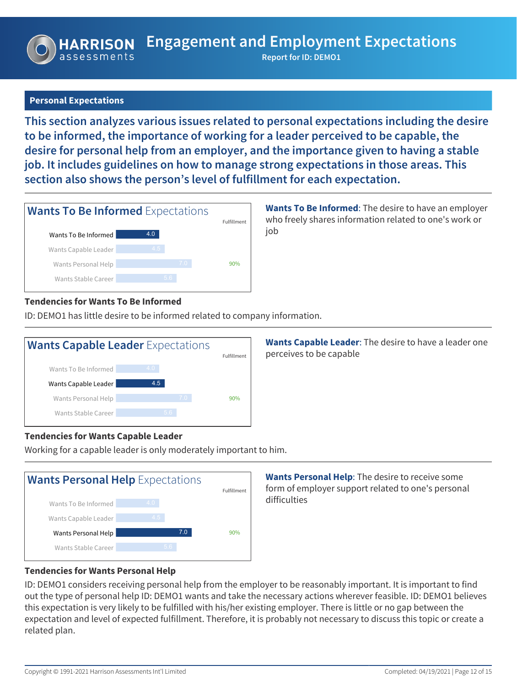# **Personal Expectations**

**IARRISON** 

**This section analyzes various issues related to personal expectations including the desire to be informed, the importance of working for a leader perceived to be capable, the desire for personal help from an employer, and the importance given to having a stable job. It includes guidelines on how to manage strong expectations in those areas. This section also shows the person's level of fulfillment for each expectation.**



**Wants To Be Informed**: The desire to have an employer who freely shares information related to one's work or job

# **Tendencies for Wants To Be Informed**

ID: DEMO1 has little desire to be informed related to company information.



**Wants Capable Leader**: The desire to have a leader one perceives to be capable

# **Tendencies for Wants Capable Leader**

Working for a capable leader is only moderately important to him.



**Wants Personal Help**: The desire to receive some form of employer support related to one's personal difficulties

# **Tendencies for Wants Personal Help**

ID: DEMO1 considers receiving personal help from the employer to be reasonably important. It is important to find out the type of personal help ID: DEMO1 wants and take the necessary actions wherever feasible. ID: DEMO1 believes this expectation is very likely to be fulfilled with his/her existing employer. There is little or no gap between the expectation and level of expected fulfillment. Therefore, it is probably not necessary to discuss this topic or create a related plan.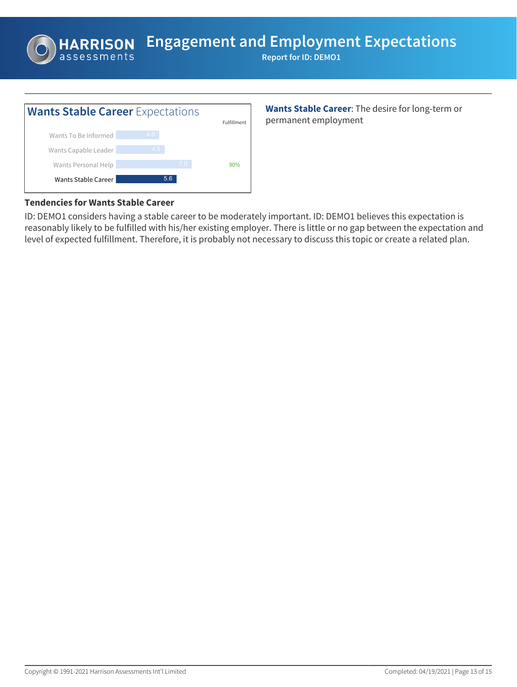**Engagement and Employment Expectations**

**Report for ID: DEMO1**



**Wants Stable Career**: The desire for long-term or permanent employment

# **Tendencies for Wants Stable Career**

**HARRISON** 

ID: DEMO1 considers having a stable career to be moderately important. ID: DEMO1 believes this expectation is reasonably likely to be fulfilled with his/her existing employer. There is little or no gap between the expectation and level of expected fulfillment. Therefore, it is probably not necessary to discuss this topic or create a related plan.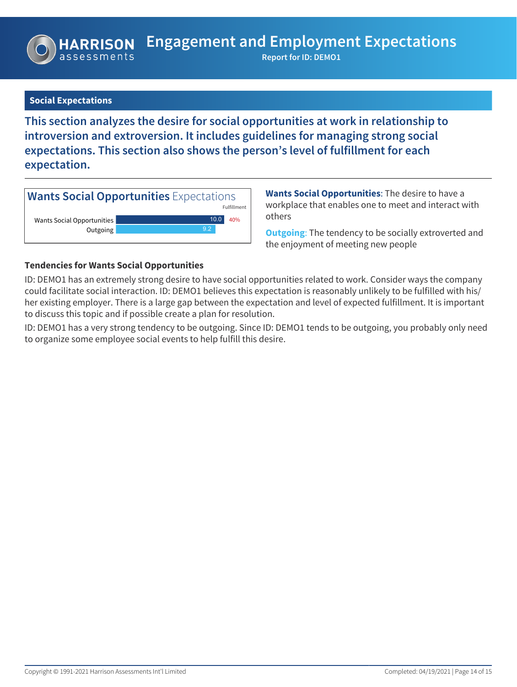# **Social Expectations**

**This section analyzes the desire for social opportunities at work in relationship to introversion and extroversion. It includes guidelines for managing strong social expectations. This section also shows the person's level of fulfillment for each expectation.**



**Wants Social Opportunities**: The desire to have a workplace that enables one to meet and interact with others

**Outgoing**: The tendency to be socially extroverted and the enjoyment of meeting new people

### **Tendencies for Wants Social Opportunities**

ID: DEMO1 has an extremely strong desire to have social opportunities related to work. Consider ways the company could facilitate social interaction. ID: DEMO1 believes this expectation is reasonably unlikely to be fulfilled with his/ her existing employer. There is a large gap between the expectation and level of expected fulfillment. It is important to discuss this topic and if possible create a plan for resolution.

ID: DEMO1 has a very strong tendency to be outgoing. Since ID: DEMO1 tends to be outgoing, you probably only need to organize some employee social events to help fulfill this desire.